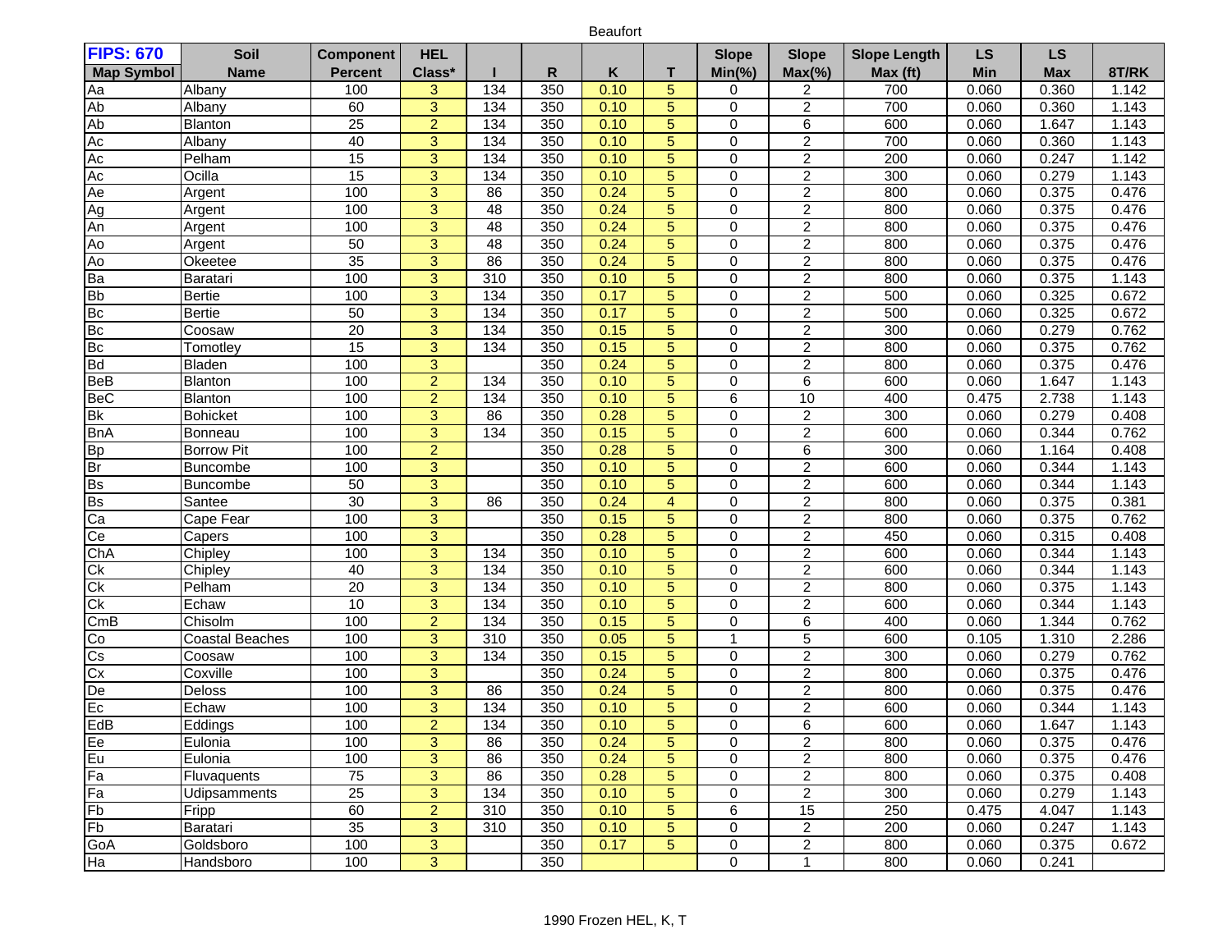Beaufort

| <b>FIPS: 670</b>         | Soil                   | <b>Component</b> | <b>HEL</b>     |                  |     |      |                 | <b>Slope</b>   | <b>Slope</b>     | <b>Slope Length</b> | <b>LS</b> | <b>LS</b>  |       |
|--------------------------|------------------------|------------------|----------------|------------------|-----|------|-----------------|----------------|------------------|---------------------|-----------|------------|-------|
| <b>Map Symbol</b>        | <b>Name</b>            | <b>Percent</b>   | Class*         |                  | R   | Κ    | т               | $Min(\% )$     | $Max(\% )$       | Max (ft)            | Min       | <b>Max</b> | 8T/RK |
| Aa                       | Albany                 | 100              | 3              | 134              | 350 | 0.10 | 5               | 0              | 2                | 700                 | 0.060     | 0.360      | 1.142 |
| Ab                       | Albany                 | 60               | 3              | 134              | 350 | 0.10 | $\overline{5}$  | 0              | 2                | 700                 | 0.060     | 0.360      | 1.143 |
| Ab                       | Blanton                | 25               | $\overline{2}$ | 134              | 350 | 0.10 | $\overline{5}$  | $\mathbf 0$    | $\overline{6}$   | 600                 | 0.060     | 1.647      | 1.143 |
| AC                       | Albany                 | 40               | $\overline{3}$ | 134              | 350 | 0.10 | 5               | $\mathbf 0$    | $\overline{2}$   | 700                 | 0.060     | 0.360      | 1.143 |
| Ac                       | Pelham                 | 15               | $\overline{3}$ | 134              | 350 | 0.10 | $\overline{5}$  | $\mathbf 0$    | $\overline{2}$   | 200                 | 0.060     | 0.247      | 1.142 |
| Ac                       | Ocilla                 | 15               | $\overline{3}$ | $\overline{134}$ | 350 | 0.10 | $\overline{5}$  | $\mathbf 0$    | $\overline{2}$   | 300                 | 0.060     | 0.279      | 1.143 |
| Ae                       | Argent                 | 100              | $\overline{3}$ | 86               | 350 | 0.24 | 5               | $\mathbf 0$    | $\overline{2}$   | 800                 | 0.060     | 0.375      | 0.476 |
| Ag                       | Argent                 | 100              | 3              | 48               | 350 | 0.24 | 5               | $\mathbf 0$    | $\overline{c}$   | 800                 | 0.060     | 0.375      | 0.476 |
| An                       | Argent                 | 100              | $\overline{3}$ | 48               | 350 | 0.24 | $\sqrt{5}$      | $\mathbf 0$    | $\overline{2}$   | 800                 | 0.060     | 0.375      | 0.476 |
| A <sub>o</sub>           | Argent                 | 50               | $\overline{3}$ | 48               | 350 | 0.24 | $\overline{5}$  | $\mathbf 0$    | $\overline{c}$   | 800                 | 0.060     | 0.375      | 0.476 |
| Ao                       | Okeetee                | 35               | $\overline{3}$ | 86               | 350 | 0.24 | $\overline{5}$  | $\mathbf 0$    | $\overline{2}$   | 800                 | 0.060     | 0.375      | 0.476 |
| Ba                       | Baratari               | 100              | 3              | 310              | 350 | 0.10 | $\sqrt{5}$      | $\mathbf 0$    | $\overline{2}$   | 800                 | 0.060     | 0.375      | 1.143 |
| <b>Bb</b>                | Bertie                 | 100              | 3              | 134              | 350 | 0.17 | $\overline{5}$  | $\mathbf 0$    | $\overline{c}$   | 500                 | 0.060     | 0.325      | 0.672 |
| Bc                       | <b>Bertie</b>          | 50               | $\overline{3}$ | 134              | 350 | 0.17 | $\overline{5}$  | $\mathbf 0$    | $\overline{2}$   | 500                 | 0.060     | 0.325      | 0.672 |
| Bc                       | Coosaw                 | $\overline{20}$  | 3              | 134              | 350 | 0.15 | $\sqrt{5}$      | $\mathbf 0$    | $\boldsymbol{2}$ | 300                 | 0.060     | 0.279      | 0.762 |
| Bc                       | Tomotley               | $\overline{15}$  | $\overline{3}$ | 134              | 350 | 0.15 | $\overline{5}$  | $\mathbf 0$    | $\overline{2}$   | 800                 | 0.060     | 0.375      | 0.762 |
| <b>Bd</b>                | Bladen                 | 100              | $\overline{3}$ |                  | 350 | 0.24 | $\overline{5}$  | $\overline{0}$ | $\overline{2}$   | 800                 | 0.060     | 0.375      | 0.476 |
| <b>BeB</b>               | Blanton                | 100              | $\overline{2}$ | $\overline{134}$ | 350 | 0.10 | $5\phantom{.0}$ | $\mathbf 0$    | 6                | 600                 | 0.060     | 1.647      | 1.143 |
| <b>BeC</b>               | Blanton                | 100              | $\overline{2}$ | 134              | 350 | 0.10 | $\overline{5}$  | 6              | 10               | 400                 | 0.475     | 2.738      | 1.143 |
| $\overline{\mathsf{Bk}}$ | <b>Bohicket</b>        | 100              | 3              | $\overline{86}$  | 350 | 0.28 | 5               | $\mathbf 0$    | $\overline{c}$   | 300                 | 0.060     | 0.279      | 0.408 |
| <b>BnA</b>               | Bonneau                | 100              | $\overline{3}$ | 134              | 350 | 0.15 | $\sqrt{5}$      | $\mathbf 0$    | $\overline{c}$   | 600                 | 0.060     | 0.344      | 0.762 |
| Bp                       | <b>Borrow Pit</b>      | 100              | $\overline{2}$ |                  | 350 | 0.28 | $\overline{5}$  | $\mathbf 0$    | 6                | 300                 | 0.060     | 1.164      | 0.408 |
| Br                       | <b>Buncombe</b>        | 100              | $\overline{3}$ |                  | 350 | 0.10 | $\sqrt{5}$      | $\mathbf 0$    | $\overline{2}$   | 600                 | 0.060     | 0.344      | 1.143 |
| Bs                       | <b>Buncombe</b>        | 50               | $\overline{3}$ |                  | 350 | 0.10 | $\overline{5}$  | $\mathbf 0$    | $\overline{c}$   | 600                 | 0.060     | 0.344      | 1.143 |
| $\overline{\mathsf{Bs}}$ | Santee                 | 30               | $\overline{3}$ | 86               | 350 | 0.24 | $\overline{4}$  | $\mathbf 0$    | $\overline{2}$   | 800                 | 0.060     | 0.375      | 0.381 |
| $\overline{Ca}$          | Cape Fear              | 100              | 3              |                  | 350 | 0.15 | 5               | $\mathbf 0$    | $\overline{c}$   | 800                 | 0.060     | 0.375      | 0.762 |
| Ce                       | Capers                 | 100              | $\overline{3}$ |                  | 350 | 0.28 | $\sqrt{5}$      | $\mathbf 0$    | $\boldsymbol{2}$ | 450                 | 0.060     | 0.315      | 0.408 |
| ChA                      | Chipley                | 100              | $\overline{3}$ | 134              | 350 | 0.10 | $\overline{5}$  | $\mathbf 0$    | $\overline{2}$   | 600                 | 0.060     | 0.344      | 1.143 |
| $\overline{Ck}$          | Chipley                | 40               | $\overline{3}$ | 134              | 350 | 0.10 | $\sqrt{5}$      | $\mathbf 0$    | $\overline{2}$   | 600                 | 0.060     | 0.344      | 1.143 |
| $\overline{Ck}$          | Pelham                 | 20               | $\overline{3}$ | 134              | 350 | 0.10 | $\overline{5}$  | $\mathbf 0$    | $\overline{2}$   | 800                 | 0.060     | 0.375      | 1.143 |
| $\overline{Ck}$          | Echaw                  | 10               | $\overline{3}$ | $\overline{134}$ | 350 | 0.10 | $\overline{5}$  | $\mathbf 0$    | $\overline{2}$   | 600                 | 0.060     | 0.344      | 1.143 |
| CmB                      | Chisolm                | 100              | $\overline{2}$ | 134              | 350 | 0.15 | 5               | $\mathbf 0$    | $\overline{6}$   | 400                 | 0.060     | 1.344      | 0.762 |
| Co                       | <b>Coastal Beaches</b> | 100              | 3              | 310              | 350 | 0.05 | $\sqrt{5}$      | $\mathbf 1$    | 5                | 600                 | 0.105     | 1.310      | 2.286 |
| $\overline{\text{Cs}}$   | Coosaw                 | 100              | $\overline{3}$ | 134              | 350 | 0.15 | $\overline{5}$  | $\mathbf 0$    | $\overline{2}$   | 300                 | 0.060     | 0.279      | 0.762 |
| $\overline{Cx}$          | Coxville               | 100              | $\overline{3}$ |                  | 350 | 0.24 | $\overline{5}$  | $\mathbf 0$    | $\overline{c}$   | 800                 | 0.060     | 0.375      | 0.476 |
| $\overline{De}$          | Deloss                 | 100              | $\overline{3}$ | 86               | 350 | 0.24 | $\overline{5}$  | $\mathbf 0$    | $\overline{2}$   | 800                 | 0.060     | 0.375      | 0.476 |
| $E_{\rm C}$              | Echaw                  | 100              | $\overline{3}$ | 134              | 350 | 0.10 | 5               | $\mathbf 0$    | $\overline{2}$   | 600                 | 0.060     | 0.344      | 1.143 |
| EdB                      | Eddings                | 100              | $\overline{2}$ | 134              | 350 | 0.10 | 5               | $\Omega$       | 6                | 600                 | 0.060     | 1.647      | 1.143 |
| Ee                       | Eulonia                | 100              | 3              | 86               | 350 | 0.24 | 5               | 0              | 2                | 800                 | 0.060     | 0.375      | 0.476 |
| Eu                       | Eulonia                | 100              | 3              | 86               | 350 | 0.24 | 5               | $\mathbf 0$    | $\overline{a}$   | 800                 | 0.060     | 0.375      | 0.476 |
| Fa                       | Fluvaquents            | 75               | $\overline{3}$ | 86               | 350 | 0.28 | $\overline{5}$  | 0              | $\overline{2}$   | 800                 | 0.060     | 0.375      | 0.408 |
| Fa                       | Udipsamments           | $\overline{25}$  | 3              | 134              | 350 | 0.10 | $\overline{5}$  | $\pmb{0}$      | $\overline{2}$   | 300                 | 0.060     | 0.279      | 1.143 |
| Fb                       | Fripp                  | 60               | $\overline{2}$ | 310              | 350 | 0.10 | 5               | 6              | 15               | 250                 | 0.475     | 4.047      | 1.143 |
| Fb                       | Baratari               | 35               | 3              | 310              | 350 | 0.10 | $\overline{5}$  | 0              | $\overline{2}$   | 200                 | 0.060     | 0.247      | 1.143 |
| GoA                      | Goldsboro              | 100              | 3              |                  | 350 | 0.17 | 5               | 0              | $\overline{a}$   | 800                 | 0.060     | 0.375      | 0.672 |
| Ha                       | Handsboro              | 100              | $\overline{3}$ |                  | 350 |      |                 | $\mathbf 0$    | 1                | 800                 | 0.060     | 0.241      |       |